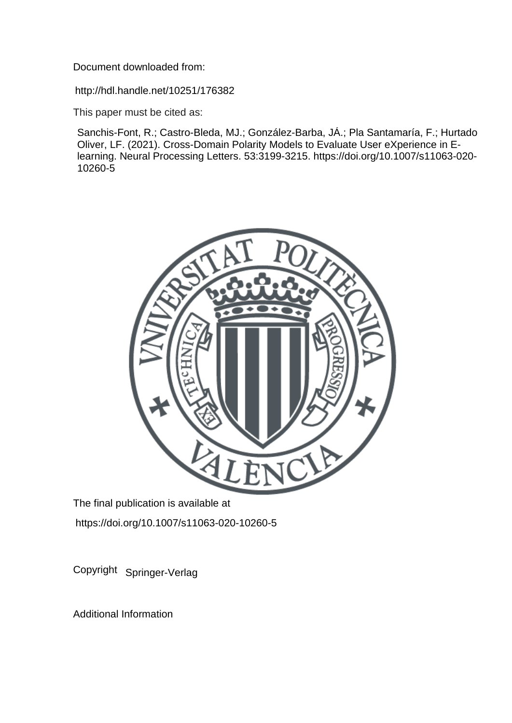Document downloaded from:

http://hdl.handle.net/10251/176382

This paper must be cited as:

Sanchis-Font, R.; Castro-Bleda, MJ.; González-Barba, JÁ.; Pla Santamaría, F.; Hurtado Oliver, LF. (2021). Cross-Domain Polarity Models to Evaluate User eXperience in Elearning. Neural Processing Letters. 53:3199-3215. https://doi.org/10.1007/s11063-020- 10260-5



The final publication is available at https://doi.org/10.1007/s11063-020-10260-5

Copyright Springer-Verlag

Additional Information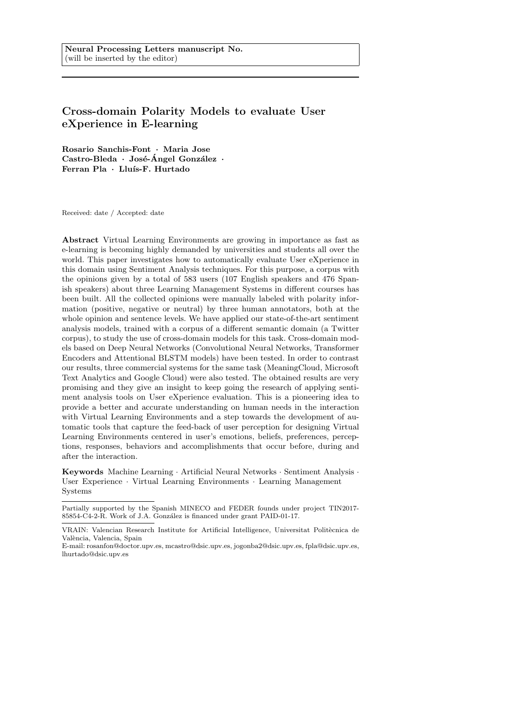# Cross-domain Polarity Models to evaluate User eXperience in E-learning

Rosario Sanchis-Font · Maria Jose  $\text{Castro-Bleda} \cdot \text{Jos\'e-Angel González}$ Ferran Pla · Lluís-F. Hurtado

Received: date / Accepted: date

Abstract Virtual Learning Environments are growing in importance as fast as e-learning is becoming highly demanded by universities and students all over the world. This paper investigates how to automatically evaluate User eXperience in this domain using Sentiment Analysis techniques. For this purpose, a corpus with the opinions given by a total of 583 users (107 English speakers and 476 Spanish speakers) about three Learning Management Systems in different courses has been built. All the collected opinions were manually labeled with polarity information (positive, negative or neutral) by three human annotators, both at the whole opinion and sentence levels. We have applied our state-of-the-art sentiment analysis models, trained with a corpus of a different semantic domain (a Twitter corpus), to study the use of cross-domain models for this task. Cross-domain models based on Deep Neural Networks (Convolutional Neural Networks, Transformer Encoders and Attentional BLSTM models) have been tested. In order to contrast our results, three commercial systems for the same task (MeaningCloud, Microsoft Text Analytics and Google Cloud) were also tested. The obtained results are very promising and they give an insight to keep going the research of applying sentiment analysis tools on User eXperience evaluation. This is a pioneering idea to provide a better and accurate understanding on human needs in the interaction with Virtual Learning Environments and a step towards the development of automatic tools that capture the feed-back of user perception for designing Virtual Learning Environments centered in user's emotions, beliefs, preferences, perceptions, responses, behaviors and accomplishments that occur before, during and after the interaction.

Keywords Machine Learning · Artificial Neural Networks · Sentiment Analysis · User Experience · Virtual Learning Environments · Learning Management **Systems** 

Partially supported by the Spanish MINECO and FEDER founds under project TIN2017- 85854-C4-2-R. Work of J.A. González is financed under grant PAID-01-17.

VRAIN: Valencian Research Institute for Artificial Intelligence, Universitat Politècnica de València, Valencia, Spain

E-mail: rosanfon@doctor.upv.es, mcastro@dsic.upv.es, jogonba2@dsic.upv.es, fpla@dsic.upv.es, lhurtado@dsic.upv.es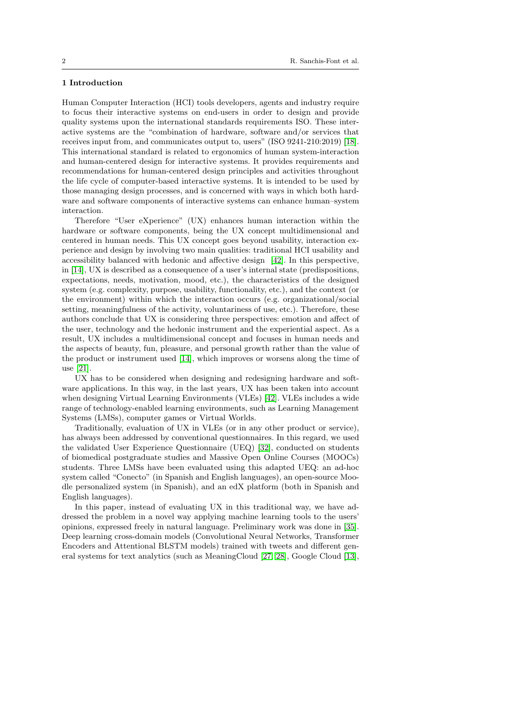## 1 Introduction

Human Computer Interaction (HCI) tools developers, agents and industry require to focus their interactive systems on end-users in order to design and provide quality systems upon the international standards requirements ISO. These interactive systems are the "combination of hardware, software and/or services that receives input from, and communicates output to, users" (ISO 9241-210:2019) [\[18\]](#page-16-0). This international standard is related to ergonomics of human system-interaction and human-centered design for interactive systems. It provides requirements and recommendations for human-centered design principles and activities throughout the life cycle of computer-based interactive systems. It is intended to be used by those managing design processes, and is concerned with ways in which both hardware and software components of interactive systems can enhance human–system interaction.

Therefore "User eXperience" (UX) enhances human interaction within the hardware or software components, being the UX concept multidimensional and centered in human needs. This UX concept goes beyond usability, interaction experience and design by involving two main qualities: traditional HCI usability and accessibility balanced with hedonic and affective design [\[42\]](#page-18-0). In this perspective, in [\[14\]](#page-16-1), UX is described as a consequence of a user's internal state (predispositions, expectations, needs, motivation, mood, etc.), the characteristics of the designed system (e.g. complexity, purpose, usability, functionality, etc.), and the context (or the environment) within which the interaction occurs (e.g. organizational/social setting, meaningfulness of the activity, voluntariness of use, etc.). Therefore, these authors conclude that UX is considering three perspectives: emotion and affect of the user, technology and the hedonic instrument and the experiential aspect. As a result, UX includes a multidimensional concept and focuses in human needs and the aspects of beauty, fun, pleasure, and personal growth rather than the value of the product or instrument used [\[14\]](#page-16-1), which improves or worsens along the time of use [\[21\]](#page-17-0).

UX has to be considered when designing and redesigning hardware and software applications. In this way, in the last years, UX has been taken into account when designing Virtual Learning Environments (VLEs) [\[42\]](#page-18-0). VLEs includes a wide range of technology-enabled learning environments, such as Learning Management Systems (LMSs), computer games or Virtual Worlds.

Traditionally, evaluation of UX in VLEs (or in any other product or service), has always been addressed by conventional questionnaires. In this regard, we used the validated User Experience Questionnaire (UEQ) [\[32\]](#page-17-1), conducted on students of biomedical postgraduate studies and Massive Open Online Courses (MOOCs) students. Three LMSs have been evaluated using this adapted UEQ: an ad-hoc system called "Conecto" (in Spanish and English languages), an open-source Moodle personalized system (in Spanish), and an edX platform (both in Spanish and English languages).

In this paper, instead of evaluating UX in this traditional way, we have addressed the problem in a novel way applying machine learning tools to the users' opinions, expressed freely in natural language. Preliminary work was done in [\[35\]](#page-18-1). Deep learning cross-domain models (Convolutional Neural Networks, Transformer Encoders and Attentional BLSTM models) trained with tweets and different general systems for text analytics (such as MeaningCloud [\[27,](#page-17-2) [28\]](#page-17-3), Google Cloud [\[13\]](#page-16-2),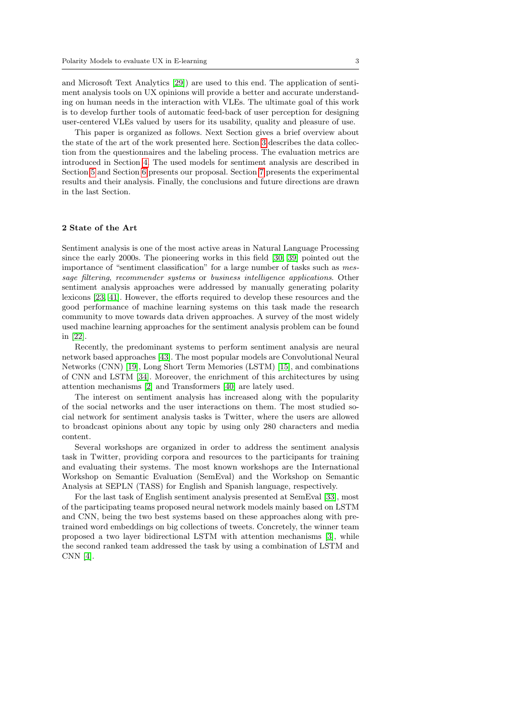and Microsoft Text Analytics [\[29\]](#page-17-4)) are used to this end. The application of sentiment analysis tools on UX opinions will provide a better and accurate understanding on human needs in the interaction with VLEs. The ultimate goal of this work is to develop further tools of automatic feed-back of user perception for designing user-centered VLEs valued by users for its usability, quality and pleasure of use.

This paper is organized as follows. Next Section gives a brief overview about the state of the art of the work presented here. Section [3](#page-4-0) describes the data collection from the questionnaires and the labeling process. The evaluation metrics are introduced in Section [4.](#page-7-0) The used models for sentiment analysis are described in Section [5](#page-8-0) and Section [6](#page-11-0) presents our proposal. Section [7](#page-12-0) presents the experimental results and their analysis. Finally, the conclusions and future directions are drawn in the last Section.

#### 2 State of the Art

Sentiment analysis is one of the most active areas in Natural Language Processing since the early 2000s. The pioneering works in this field [\[30,](#page-17-5) [39\]](#page-18-2) pointed out the importance of "sentiment classification" for a large number of tasks such as message filtering, recommender systems or business intelligence applications. Other sentiment analysis approaches were addressed by manually generating polarity lexicons [\[23,](#page-17-6) [41\]](#page-18-3). However, the efforts required to develop these resources and the good performance of machine learning systems on this task made the research community to move towards data driven approaches. A survey of the most widely used machine learning approaches for the sentiment analysis problem can be found in [\[22\]](#page-17-7).

Recently, the predominant systems to perform sentiment analysis are neural network based approaches [\[43\]](#page-18-4). The most popular models are Convolutional Neural Networks (CNN) [\[19\]](#page-16-3), Long Short Term Memories (LSTM) [\[15\]](#page-16-4), and combinations of CNN and LSTM [\[34\]](#page-17-8). Moreover, the enrichment of this architectures by using attention mechanisms [\[2\]](#page-15-0) and Transformers [\[40\]](#page-18-5) are lately used.

The interest on sentiment analysis has increased along with the popularity of the social networks and the user interactions on them. The most studied social network for sentiment analysis tasks is Twitter, where the users are allowed to broadcast opinions about any topic by using only 280 characters and media content.

Several workshops are organized in order to address the sentiment analysis task in Twitter, providing corpora and resources to the participants for training and evaluating their systems. The most known workshops are the International Workshop on Semantic Evaluation (SemEval) and the Workshop on Semantic Analysis at SEPLN (TASS) for English and Spanish language, respectively.

For the last task of English sentiment analysis presented at SemEval [\[33\]](#page-17-9), most of the participating teams proposed neural network models mainly based on LSTM and CNN, being the two best systems based on these approaches along with pretrained word embeddings on big collections of tweets. Concretely, the winner team proposed a two layer bidirectional LSTM with attention mechanisms [\[3\]](#page-15-1), while the second ranked team addressed the task by using a combination of LSTM and CNN [\[4\]](#page-15-2).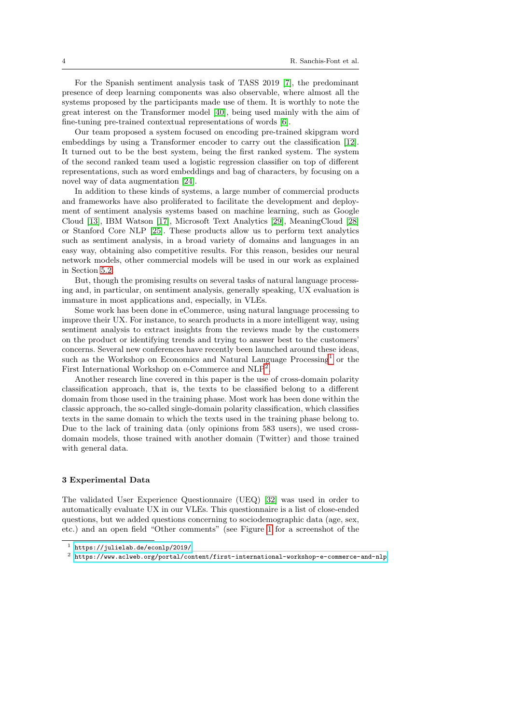For the Spanish sentiment analysis task of TASS 2019 [\[7\]](#page-15-3), the predominant presence of deep learning components was also observable, where almost all the systems proposed by the participants made use of them. It is worthly to note the great interest on the Transformer model [\[40\]](#page-18-5), being used mainly with the aim of fine-tuning pre-trained contextual representations of words [\[6\]](#page-15-4).

Our team proposed a system focused on encoding pre-trained skipgram word embeddings by using a Transformer encoder to carry out the classification [\[12\]](#page-16-5). It turned out to be the best system, being the first ranked system. The system of the second ranked team used a logistic regression classifier on top of different representations, such as word embeddings and bag of characters, by focusing on a novel way of data augmentation [\[24\]](#page-17-10).

In addition to these kinds of systems, a large number of commercial products and frameworks have also proliferated to facilitate the development and deployment of sentiment analysis systems based on machine learning, such as Google Cloud [\[13\]](#page-16-2), IBM Watson [\[17\]](#page-16-6), Microsoft Text Analytics [\[29\]](#page-17-4), MeaningCloud [\[28\]](#page-17-3) or Stanford Core NLP [\[25\]](#page-17-11). These products allow us to perform text analytics such as sentiment analysis, in a broad variety of domains and languages in an easy way, obtaining also competitive results. For this reason, besides our neural network models, other commercial models will be used in our work as explained in Section [5.2.](#page-10-0)

But, though the promising results on several tasks of natural language processing and, in particular, on sentiment analysis, generally speaking, UX evaluation is immature in most applications and, especially, in VLEs.

Some work has been done in eCommerce, using natural language processing to improve their UX. For instance, to search products in a more intelligent way, using sentiment analysis to extract insights from the reviews made by the customers on the product or identifying trends and trying to answer best to the customers' concerns. Several new conferences have recently been launched around these ideas, such as the Workshop on Economics and Natural Language Processing<sup>[1](#page-4-1)</sup> or the First International Workshop on e-Commerce and  $NLP^2$  $NLP^2$ .

Another research line covered in this paper is the use of cross-domain polarity classification approach, that is, the texts to be classified belong to a different domain from those used in the training phase. Most work has been done within the classic approach, the so-called single-domain polarity classification, which classifies texts in the same domain to which the texts used in the training phase belong to. Due to the lack of training data (only opinions from 583 users), we used crossdomain models, those trained with another domain (Twitter) and those trained with general data.

#### <span id="page-4-0"></span>3 Experimental Data

The validated User Experience Questionnaire (UEQ) [\[32\]](#page-17-1) was used in order to automatically evaluate UX in our VLEs. This questionnaire is a list of close-ended questions, but we added questions concerning to sociodemographic data (age, sex, etc.) and an open field "Other comments" (see Figure [1](#page-5-0) for a screenshot of the

<span id="page-4-1"></span><sup>1</sup> <https://julielab.de/econlp/2019/>

<span id="page-4-2"></span> $^2$ <https://www.aclweb.org/portal/content/first-international-workshop-e-commerce-and-nlp>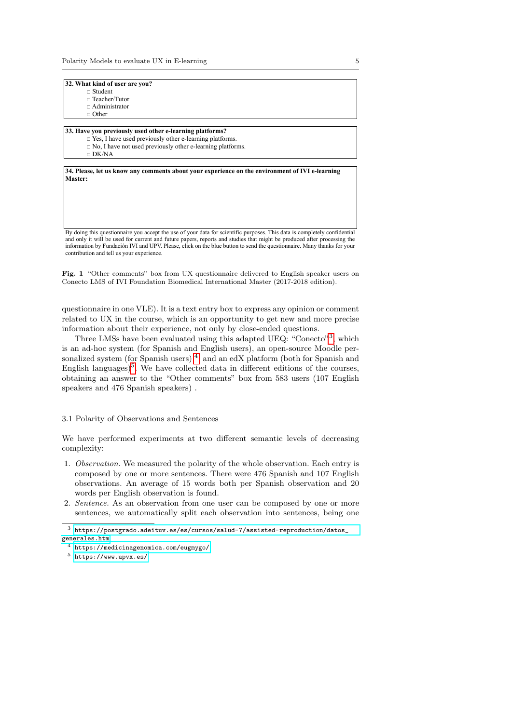- $\hfill \Box$ <br> <br> Student
- □ Teacher/Tutor
- □ Administrator
- $\Box$  Other

#### **33. Have you previously used other e-learning platforms?**

- □ Yes, I have used previously other e-learning platforms.  $\Box$  No, I have not used previously other e-learning platforms.
- □ DK/NA

**34. Please, let us know any comments about your experience on the environment of IVI e-learning Master:**

By doing this questionnaire you accept the use of your data for scientific purposes. This data is completely confidential and only it will be used for current and future papers, reports and studies that might be produced after processing the information by Fundación IVI and UPV. Please, click on the blue button to send the questionnaire. Many thanks for your contribution and tell us your experience.

<span id="page-5-0"></span>Fig. 1 "Other comments" box from UX questionnaire delivered to English speaker users on Conecto LMS of IVI Foundation Biomedical International Master (2017-2018 edition).

questionnaire in one VLE). It is a text entry box to express any opinion or comment related to UX in the course, which is an opportunity to get new and more precise information about their experience, not only by close-ended questions.

Three LMSs have been evaluated using this adapted UEQ: "Conecto"<sup>[3](#page-5-1)</sup>, which is an ad-hoc system (for Spanish and English users), an open-source Moodle per-sonalized system (for Spanish users)<sup>[4](#page-5-2)</sup>, and an edX platform (both for Spanish and English languages)<sup>[5](#page-5-3)</sup>. We have collected data in different editions of the courses, obtaining an answer to the "Other comments" box from 583 users (107 English speakers and 476 Spanish speakers) .

## 3.1 Polarity of Observations and Sentences

We have performed experiments at two different semantic levels of decreasing complexity:

- 1. Observation. We measured the polarity of the whole observation. Each entry is composed by one or more sentences. There were 476 Spanish and 107 English observations. An average of 15 words both per Spanish observation and 20 words per English observation is found.
- 2. Sentence. As an observation from one user can be composed by one or more sentences, we automatically split each observation into sentences, being one

<span id="page-5-1"></span> $^3$ [https://postgrado.adeituv.es/es/cursos/salud-7/assisted-reproduction/datos\\_](https://postgrado.adeituv.es/es/cursos/salud-7/assisted-reproduction/datos_generales.htm) [generales.htm](https://postgrado.adeituv.es/es/cursos/salud-7/assisted-reproduction/datos_generales.htm)

<span id="page-5-2"></span><sup>4</sup> <https://medicinagenomica.com/eugmygo/>

<span id="page-5-3"></span><sup>5</sup> <https://www.upvx.es/>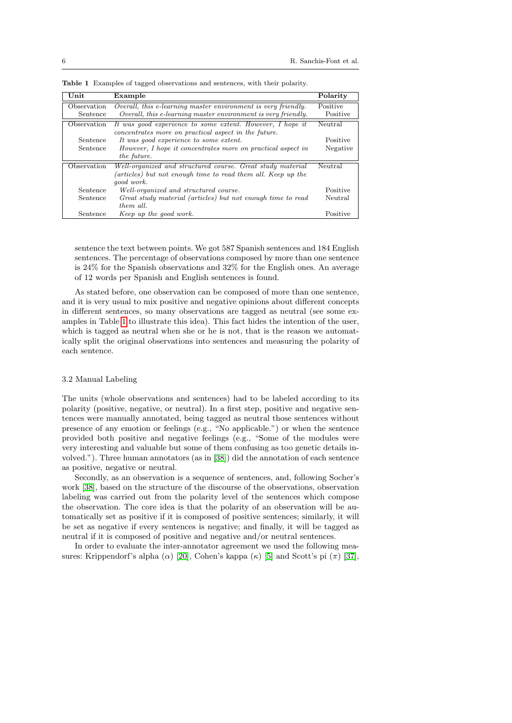| Unit        | Example                                                       | Polarity |
|-------------|---------------------------------------------------------------|----------|
| Observation | Overall, this e-learning master environment is very friendly. | Positive |
| Sentence    | Overall, this e-learning master environment is very friendly. | Positive |
| Observation | It was good experience to some extent. However, I hope it     | Neutral  |
|             | concentrates more on practical aspect in the future.          |          |
| Sentence    | It was good experience to some extent.                        | Positive |
| Sentence    | However, I hope it concentrates more on practical aspect in   | Negative |
|             | the future.                                                   |          |
| Observation | Well-organized and structured course. Great study material    | Neutral  |
|             | (articles) but not enough time to read them all. Keep up the  |          |
|             | good work.                                                    |          |
| Sentence    | Well-organized and structured course.                         | Positive |
| Sentence    | Great study material (articles) but not enough time to read   | Neutral  |
|             | them all.                                                     |          |
| Sentence    | Keep up the good work.                                        | Positive |

<span id="page-6-0"></span>Table 1 Examples of tagged observations and sentences, with their polarity.

sentence the text between points. We got 587 Spanish sentences and 184 English sentences. The percentage of observations composed by more than one sentence is 24% for the Spanish observations and 32% for the English ones. An average of 12 words per Spanish and English sentences is found.

As stated before, one observation can be composed of more than one sentence, and it is very usual to mix positive and negative opinions about different concepts in different sentences, so many observations are tagged as neutral (see some examples in Table [1](#page-6-0) to illustrate this idea). This fact hides the intention of the user, which is tagged as neutral when she or he is not, that is the reason we automatically split the original observations into sentences and measuring the polarity of each sentence.

## 3.2 Manual Labeling

The units (whole observations and sentences) had to be labeled according to its polarity (positive, negative, or neutral). In a first step, positive and negative sentences were manually annotated, being tagged as neutral those sentences without presence of any emotion or feelings (e.g., "No applicable.") or when the sentence provided both positive and negative feelings (e.g., "Some of the modules were very interesting and valuable but some of them confusing as too genetic details involved."). Three human annotators (as in [\[38\]](#page-18-6)) did the annotation of each sentence as positive, negative or neutral.

Secondly, as an observation is a sequence of sentences, and, following Socher's work [\[38\]](#page-18-6), based on the structure of the discourse of the observations, observation labeling was carried out from the polarity level of the sentences which compose the observation. The core idea is that the polarity of an observation will be automatically set as positive if it is composed of positive sentences; similarly, it will be set as negative if every sentences is negative; and finally, it will be tagged as neutral if it is composed of positive and negative and/or neutral sentences.

In order to evaluate the inter-annotator agreement we used the following measures: Krippendorf's alpha ( $\alpha$ ) [\[20\]](#page-16-7), Cohen's kappa ( $\kappa$ ) [\[5\]](#page-15-5) and Scott's pi ( $\pi$ ) [\[37\]](#page-18-7),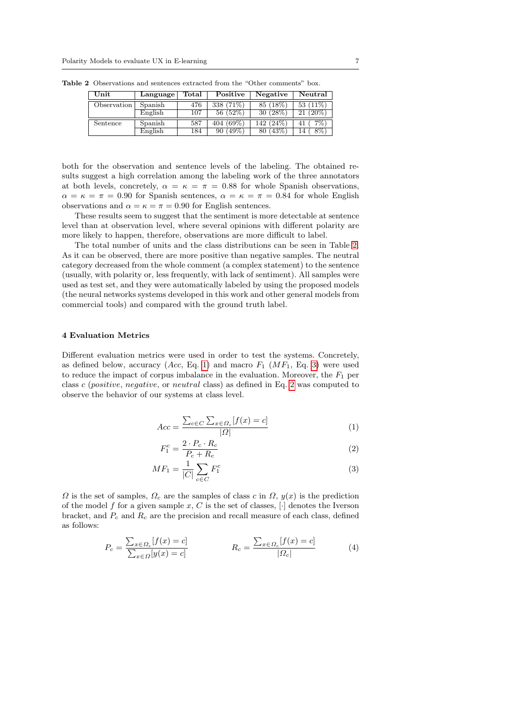<span id="page-7-1"></span>

| Unit        | Language | Total | Positive        | Negative        | Neutral        |
|-------------|----------|-------|-----------------|-----------------|----------------|
| Observation | Spanish  | 476   | 338 (71\%)      | 85 (18%)        | 53 $(11\%)$    |
|             | English  | 107   | 56(52%)         | 30 (28%)        | $(20\%)$<br>21 |
| Sentence    | Spanish  | 587   | $(69\%)$<br>404 | $142(24\%)$     | 7%`<br>41      |
|             | English  | 184   | $(49\%)$<br>90  | $'43\%$<br>80 ( | 8%<br>14       |

Table 2 Observations and sentences extracted from the "Other comments" box.

both for the observation and sentence levels of the labeling. The obtained results suggest a high correlation among the labeling work of the three annotators at both levels, concretely,  $\alpha = \kappa = \pi = 0.88$  for whole Spanish observations,  $\alpha = \kappa = \pi = 0.90$  for Spanish sentences,  $\alpha = \kappa = \pi = 0.84$  for whole English observations and  $\alpha = \kappa = \pi = 0.90$  for English sentences.

These results seem to suggest that the sentiment is more detectable at sentence level than at observation level, where several opinions with different polarity are more likely to happen, therefore, observations are more difficult to label.

The total number of units and the class distributions can be seen in Table [2.](#page-7-1) As it can be observed, there are more positive than negative samples. The neutral category decreased from the whole comment (a complex statement) to the sentence (usually, with polarity or, less frequently, with lack of sentiment). All samples were used as test set, and they were automatically labeled by using the proposed models (the neural networks systems developed in this work and other general models from commercial tools) and compared with the ground truth label.

## <span id="page-7-0"></span>4 Evaluation Metrics

Different evaluation metrics were used in order to test the systems. Concretely, as defined below, accuracy  $(Acc, Eq. 1)$  $(Acc, Eq. 1)$  and macro  $F_1$   $(MF_1, Eq. 3)$  $(MF_1, Eq. 3)$  were used to reduce the impact of corpus imbalance in the evaluation. Moreover, the  $F_1$  per class c (positive, negative, or neutral class) as defined in Eq. [2](#page-7-4) was computed to observe the behavior of our systems at class level.

<span id="page-7-2"></span>
$$
Acc = \frac{\sum_{c \in C} \sum_{x \in \Omega_c} [f(x) = c]}{|\Omega|} \tag{1}
$$

<span id="page-7-4"></span><span id="page-7-3"></span>
$$
F_1^c = \frac{2 \cdot P_c \cdot R_c}{P_c + R_c} \tag{2}
$$

$$
MF_1 = \frac{1}{|C|} \sum_{c \in C} F_1^c \tag{3}
$$

 $\Omega$  is the set of samples,  $\Omega_c$  are the samples of class c in  $\Omega$ ,  $y(x)$  is the prediction of the model f for a given sample x, C is the set of classes,  $\lceil \cdot \rceil$  denotes the Iverson bracket, and  $P_c$  and  $R_c$  are the precision and recall measure of each class, defined as follows:

$$
P_c = \frac{\sum_{x \in \Omega_c} [f(x) = c]}{\sum_{x \in \Omega} [y(x) = c]} \qquad R_c = \frac{\sum_{x \in \Omega_c} [f(x) = c]}{|\Omega_c|} \tag{4}
$$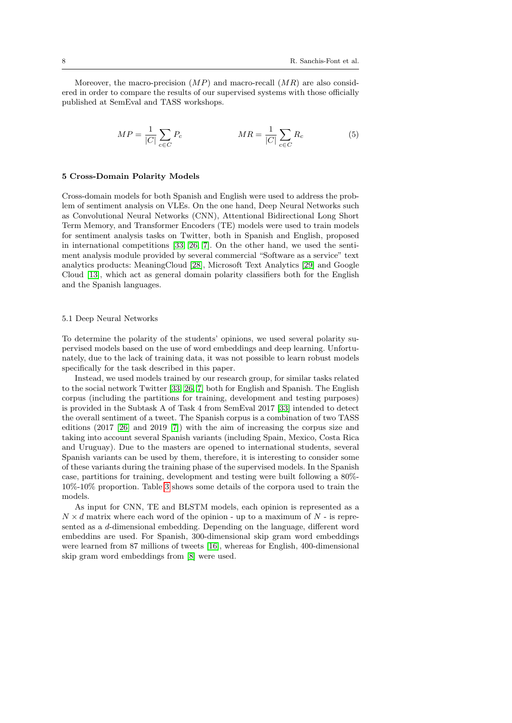Moreover, the macro-precision  $(MP)$  and macro-recall  $(MR)$  are also considered in order to compare the results of our supervised systems with those officially published at SemEval and TASS workshops.

$$
MP = \frac{1}{|C|} \sum_{c \in C} P_c \qquad \qquad MR = \frac{1}{|C|} \sum_{c \in C} R_c \tag{5}
$$

## <span id="page-8-0"></span>5 Cross-Domain Polarity Models

Cross-domain models for both Spanish and English were used to address the problem of sentiment analysis on VLEs. On the one hand, Deep Neural Networks such as Convolutional Neural Networks (CNN), Attentional Bidirectional Long Short Term Memory, and Transformer Encoders (TE) models were used to train models for sentiment analysis tasks on Twitter, both in Spanish and English, proposed in international competitions [\[33,](#page-17-9) [26,](#page-17-12) [7\]](#page-15-3). On the other hand, we used the sentiment analysis module provided by several commercial "Software as a service" text analytics products: MeaningCloud [\[28\]](#page-17-3), Microsoft Text Analytics [\[29\]](#page-17-4) and Google Cloud [\[13\]](#page-16-2), which act as general domain polarity classifiers both for the English and the Spanish languages.

## 5.1 Deep Neural Networks

To determine the polarity of the students' opinions, we used several polarity supervised models based on the use of word embeddings and deep learning. Unfortunately, due to the lack of training data, it was not possible to learn robust models specifically for the task described in this paper.

Instead, we used models trained by our research group, for similar tasks related to the social network Twitter [\[33,](#page-17-9) [26,](#page-17-12) [7\]](#page-15-3) both for English and Spanish. The English corpus (including the partitions for training, development and testing purposes) is provided in the Subtask A of Task 4 from SemEval 2017 [\[33\]](#page-17-9) intended to detect the overall sentiment of a tweet. The Spanish corpus is a combination of two TASS editions (2017 [\[26\]](#page-17-12) and 2019 [\[7\]](#page-15-3)) with the aim of increasing the corpus size and taking into account several Spanish variants (including Spain, Mexico, Costa Rica and Uruguay). Due to the masters are opened to international students, several Spanish variants can be used by them, therefore, it is interesting to consider some of these variants during the training phase of the supervised models. In the Spanish case, partitions for training, development and testing were built following a 80%- 10%-10% proportion. Table [3](#page-9-0) shows some details of the corpora used to train the models.

As input for CNN, TE and BLSTM models, each opinion is represented as a  $N \times d$  matrix where each word of the opinion - up to a maximum of N - is represented as a d-dimensional embedding. Depending on the language, different word embeddins are used. For Spanish, 300-dimensional skip gram word embeddings were learned from 87 millions of tweets [\[16\]](#page-16-8), whereas for English, 400-dimensional skip gram word embeddings from [\[8\]](#page-15-6) were used.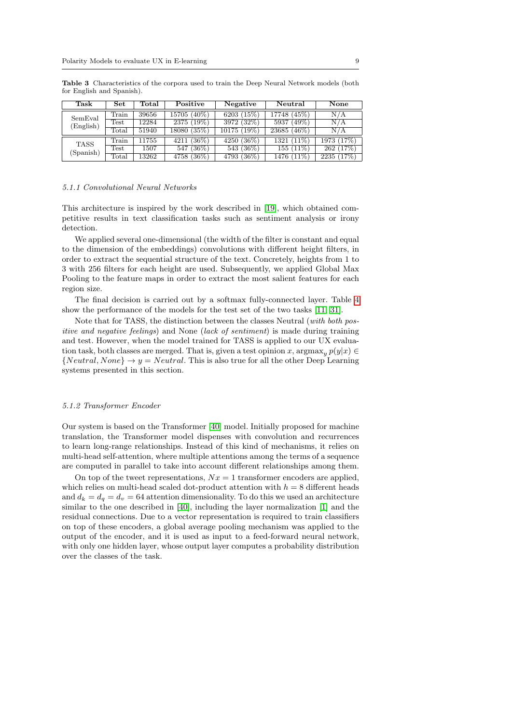| Task        | Set                    | Total | Positive          | Negative     | Neutral                  | None           |
|-------------|------------------------|-------|-------------------|--------------|--------------------------|----------------|
| SemEval     | $\operatorname{Train}$ | 39656 | $(40\%)$<br>15705 | 6203 $(15%)$ | 17748 (45%)              | N/A            |
|             | Test                   | 12284 | $(19\%)$<br>2375  | 3972 (32%)   | $(49\%)$<br>5937         | N/A            |
| (English)   | Total                  | 51940 | 18080 (35%)       | 10175 (19%)  | $23685\sqrt{46\%}$       | N/A            |
| <b>TASS</b> | Train                  | 11755 | $(36\%)$<br>4211  | 4250 (36%)   | $1321 \overline{(11\%)}$ | 1973 (17%)     |
| (Spanish)   | <b>Test</b>            | 1507  | 547 (36%)         | 543(36%)     | 155(11%)                 | 262(17%)       |
|             | $_{\rm Total}$         | 13262 | $4758~(36\%)$     | 4793 (36%)   | 1476 (11\%)              | $2235\ (17\%)$ |

<span id="page-9-0"></span>Table 3 Characteristics of the corpora used to train the Deep Neural Network models (both for English and Spanish).

#### 5.1.1 Convolutional Neural Networks

This architecture is inspired by the work described in [\[19\]](#page-16-3), which obtained competitive results in text classification tasks such as sentiment analysis or irony detection.

We applied several one-dimensional (the width of the filter is constant and equal to the dimension of the embeddings) convolutions with different height filters, in order to extract the sequential structure of the text. Concretely, heights from 1 to 3 with 256 filters for each height are used. Subsequently, we applied Global Max Pooling to the feature maps in order to extract the most salient features for each region size.

The final decision is carried out by a softmax fully-connected layer. Table [4](#page-10-1) show the performance of the models for the test set of the two tasks [\[11,](#page-16-9) [31\]](#page-17-13).

Note that for TASS, the distinction between the classes Neutral (with both positive and negative feelings) and None (lack of sentiment) is made during training and test. However, when the model trained for TASS is applied to our UX evaluation task, both classes are merged. That is, given a test opinion x,  $\arg \max_{y} p(y|x) \in$  ${Neutral, None} \rightarrow y = Neural$ . This is also true for all the other Deep Learning systems presented in this section.

## 5.1.2 Transformer Encoder

Our system is based on the Transformer [\[40\]](#page-18-5) model. Initially proposed for machine translation, the Transformer model dispenses with convolution and recurrences to learn long-range relationships. Instead of this kind of mechanisms, it relies on multi-head self-attention, where multiple attentions among the terms of a sequence are computed in parallel to take into account different relationships among them.

On top of the tweet representations,  $Nx = 1$  transformer encoders are applied, which relies on multi-head scaled dot-product attention with  $h = 8$  different heads and  $d_k = d_q = d_v = 64$  attention dimensionality. To do this we used an architecture similar to the one described in [\[40\]](#page-18-5), including the layer normalization [\[1\]](#page-15-7) and the residual connections. Due to a vector representation is required to train classifiers on top of these encoders, a global average pooling mechanism was applied to the output of the encoder, and it is used as input to a feed-forward neural network, with only one hidden layer, whose output layer computes a probability distribution over the classes of the task.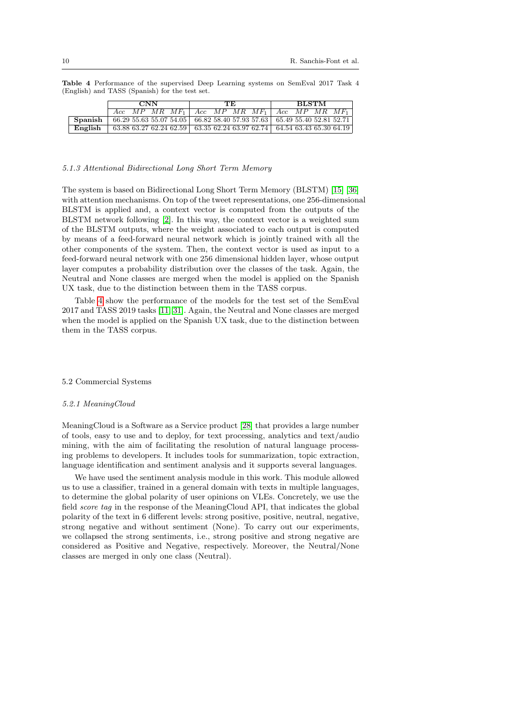<span id="page-10-1"></span>

|         | $\bf CNN$ |  |  | TE. |  |  | BLSTM |  |                                                                              |  |  |  |
|---------|-----------|--|--|-----|--|--|-------|--|------------------------------------------------------------------------------|--|--|--|
|         |           |  |  |     |  |  |       |  | Acc $MP$ $MR$ $MF_1$ $Acc$ $MP$ $MR$ $MF_1$ $Acc$ $MP$ $MR$ $MF_1$           |  |  |  |
| Spanish |           |  |  |     |  |  |       |  | 66.29 55.63 55.07 54.05 66.82 58.40 57.93 57.63 65.49 55.40 52.81 52.71      |  |  |  |
| English |           |  |  |     |  |  |       |  | $63.88\,63.27\,62.24\,62.59$ 63.35 62.24 63.97 62.74 64.54 63.43 65.30 64.19 |  |  |  |

Table 4 Performance of the supervised Deep Learning systems on SemEval 2017 Task 4 (English) and TASS (Spanish) for the test set.

#### 5.1.3 Attentional Bidirectional Long Short Term Memory

The system is based on Bidirectional Long Short Term Memory (BLSTM) [\[15\]](#page-16-4) [\[36\]](#page-18-8) with attention mechanisms. On top of the tweet representations, one 256-dimensional BLSTM is applied and, a context vector is computed from the outputs of the BLSTM network following [\[2\]](#page-15-0). In this way, the context vector is a weighted sum of the BLSTM outputs, where the weight associated to each output is computed by means of a feed-forward neural network which is jointly trained with all the other components of the system. Then, the context vector is used as input to a feed-forward neural network with one 256 dimensional hidden layer, whose output layer computes a probability distribution over the classes of the task. Again, the Neutral and None classes are merged when the model is applied on the Spanish UX task, due to the distinction between them in the TASS corpus.

Table [4](#page-10-1) show the performance of the models for the test set of the SemEval 2017 and TASS 2019 tasks [\[11,](#page-16-9) [31\]](#page-17-13). Again, the Neutral and None classes are merged when the model is applied on the Spanish UX task, due to the distinction between them in the TASS corpus.

## <span id="page-10-0"></span>5.2 Commercial Systems

#### 5.2.1 MeaningCloud

MeaningCloud is a Software as a Service product [\[28\]](#page-17-3) that provides a large number of tools, easy to use and to deploy, for text processing, analytics and text/audio mining, with the aim of facilitating the resolution of natural language processing problems to developers. It includes tools for summarization, topic extraction, language identification and sentiment analysis and it supports several languages.

We have used the sentiment analysis module in this work. This module allowed us to use a classifier, trained in a general domain with texts in multiple languages, to determine the global polarity of user opinions on VLEs. Concretely, we use the field score tag in the response of the MeaningCloud API, that indicates the global polarity of the text in 6 different levels: strong positive, positive, neutral, negative, strong negative and without sentiment (None). To carry out our experiments, we collapsed the strong sentiments, i.e., strong positive and strong negative are considered as Positive and Negative, respectively. Moreover, the Neutral/None classes are merged in only one class (Neutral).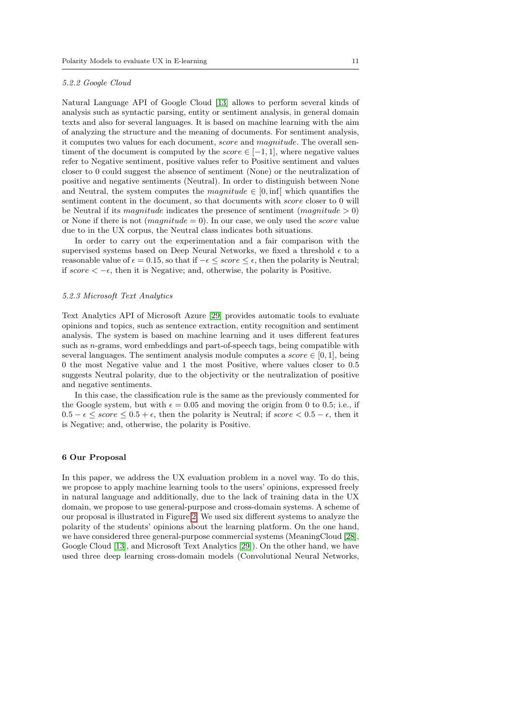#### 5.2.2 Google Cloud

Natural Language API of Google Cloud [\[13\]](#page-16-2) allows to perform several kinds of analysis such as syntactic parsing, entity or sentiment analysis, in general domain texts and also for several languages. It is based on machine learning with the aim of analyzing the structure and the meaning of documents. For sentiment analysis, it computes two values for each document, score and magnitude. The overall sentiment of the document is computed by the *score*  $\in [-1, 1]$ , where negative values refer to Negative sentiment, positive values refer to Positive sentiment and values closer to 0 could suggest the absence of sentiment (None) or the neutralization of positive and negative sentiments (Neutral). In order to distinguish between None and Neutral, the system computes the *magnitude*  $\in [0, \inf[$  which quantifies the sentiment content in the document, so that documents with *score* closer to 0 will be Neutral if its magnitude indicates the presence of sentiment  $(magnitude > 0)$ or None if there is not  $(magnitude = 0)$ . In our case, we only used the *score* value due to in the UX corpus, the Neutral class indicates both situations.

In order to carry out the experimentation and a fair comparison with the supervised systems based on Deep Neural Networks, we fixed a threshold  $\epsilon$  to a reasonable value of  $\epsilon = 0.15$ , so that if  $-\epsilon \leq score \leq \epsilon$ , then the polarity is Neutral; if score  $\lt -\epsilon$ , then it is Negative; and, otherwise, the polarity is Positive.

## 5.2.3 Microsoft Text Analytics

Text Analytics API of Microsoft Azure [\[29\]](#page-17-4) provides automatic tools to evaluate opinions and topics, such as sentence extraction, entity recognition and sentiment analysis. The system is based on machine learning and it uses different features such as n-grams, word embeddings and part-of-speech tags, being compatible with several languages. The sentiment analysis module computes a  $score \in [0, 1]$ , being 0 the most Negative value and 1 the most Positive, where values closer to 0.5 suggests Neutral polarity, due to the objectivity or the neutralization of positive and negative sentiments.

In this case, the classification rule is the same as the previously commented for the Google system, but with  $\epsilon = 0.05$  and moving the origin from 0 to 0.5; i.e., if  $0.5 - \epsilon \leq score \leq 0.5 + \epsilon$ , then the polarity is Neutral; if score  $\leq 0.5 - \epsilon$ , then it is Negative; and, otherwise, the polarity is Positive.

## <span id="page-11-0"></span>6 Our Proposal

In this paper, we address the UX evaluation problem in a novel way. To do this, we propose to apply machine learning tools to the users' opinions, expressed freely in natural language and additionally, due to the lack of training data in the UX domain, we propose to use general-purpose and cross-domain systems. A scheme of our proposal is illustrated in Figure [2.](#page-12-1) We used six different systems to analyze the polarity of the students' opinions about the learning platform. On the one hand, we have considered three general-purpose commercial systems (MeaningCloud [\[28\]](#page-17-3), Google Cloud [\[13\]](#page-16-2), and Microsoft Text Analytics [\[29\]](#page-17-4)). On the other hand, we have used three deep learning cross-domain models (Convolutional Neural Networks,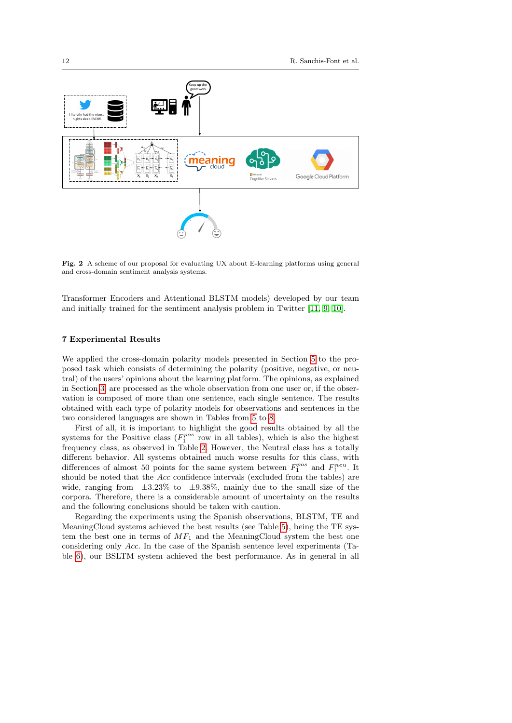

<span id="page-12-1"></span>Fig. 2 A scheme of our proposal for evaluating UX about E-learning platforms using general and cross-domain sentiment analysis systems.

Transformer Encoders and Attentional BLSTM models) developed by our team and initially trained for the sentiment analysis problem in Twitter [\[11,](#page-16-9) [9,](#page-16-10) [10\]](#page-16-11).

#### <span id="page-12-0"></span>7 Experimental Results

We applied the cross-domain polarity models presented in Section [5](#page-8-0) to the proposed task which consists of determining the polarity (positive, negative, or neutral) of the users' opinions about the learning platform. The opinions, as explained in Section [3,](#page-4-0) are processed as the whole observation from one user or, if the observation is composed of more than one sentence, each single sentence. The results obtained with each type of polarity models for observations and sentences in the two considered languages are shown in Tables from [5](#page-13-0) to [8.](#page-14-0)

First of all, it is important to highlight the good results obtained by all the systems for the Positive class  $(F_1^{pos}$  row in all tables), which is also the highest frequency class, as observed in Table [2.](#page-7-1) However, the Neutral class has a totally different behavior. All systems obtained much worse results for this class, with differences of almost 50 points for the same system between  $F_1^{pos}$  and  $F_1^{neu}$ . It should be noted that the Acc confidence intervals (excluded from the tables) are wide, ranging from  $\pm 3.23\%$  to  $\pm 9.38\%$ , mainly due to the small size of the corpora. Therefore, there is a considerable amount of uncertainty on the results and the following conclusions should be taken with caution.

Regarding the experiments using the Spanish observations, BLSTM, TE and MeaningCloud systems achieved the best results (see Table [5\)](#page-13-0), being the TE system the best one in terms of  $MF_1$  and the MeaningCloud system the best one considering only Acc. In the case of the Spanish sentence level experiments (Table [6\)](#page-13-1), our BSLTM system achieved the best performance. As in general in all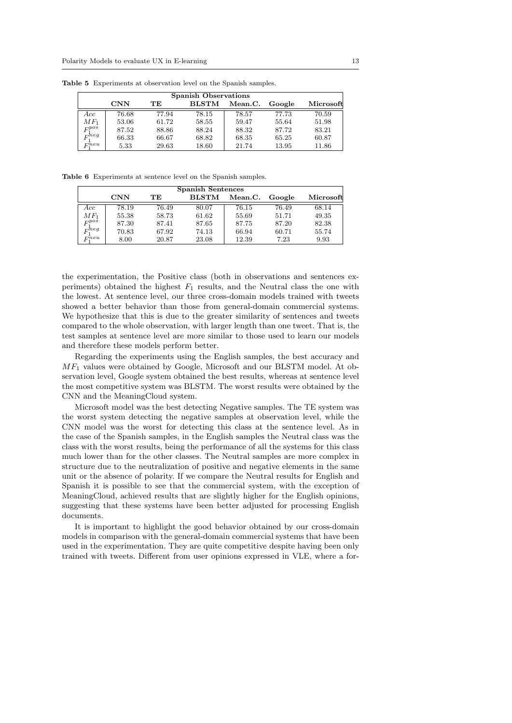<span id="page-13-0"></span>

|               | <b>Spanish Observations</b> |       |              |         |        |           |  |  |  |
|---------------|-----------------------------|-------|--------------|---------|--------|-----------|--|--|--|
|               | $\rm CNN$                   | TЕ    | <b>BLSTM</b> | Mean.C. | Google | Microsoft |  |  |  |
| Acc           | 76.68                       | 77.94 | 78.15        | 78.57   | 77.73  | 70.59     |  |  |  |
| $MF_1$        | 53.06                       | 61.72 | 58.55        | 59.47   | 55.64  | 51.98     |  |  |  |
| $F^{pos}_{1}$ | 87.52                       | 88.86 | 88.24        | 88.32   | 87.72  | 83.21     |  |  |  |
| $F^{neg}_1$   | 66.33                       | 66.67 | 68.82        | 68.35   | 65.25  | 60.87     |  |  |  |
| $F^{neu}$     | 5.33                        | 29.63 | 18.60        | 21.74   | 13.95  | 11.86     |  |  |  |

Table 5 Experiments at observation level on the Spanish samples.

Table 6 Experiments at sentence level on the Spanish samples.

<span id="page-13-1"></span>

|                   | <b>Spanish Sentences</b> |       |              |         |        |           |  |  |  |
|-------------------|--------------------------|-------|--------------|---------|--------|-----------|--|--|--|
|                   | $\mathbf{CNN}$           | TЕ    | <b>BLSTM</b> | Mean.C. | Google | Microsoft |  |  |  |
| Acc               | 78.19                    | 76.49 | 80.07        | 76.15   | 76.49  | 68.14     |  |  |  |
| $\mathit{MF}_1$   | 55.38                    | 58.73 | 61.62        | 55.69   | 51.71  | 49.35     |  |  |  |
| $F_1^{pos}$       | 87.30                    | 87.41 | 87.65        | 87.75   | 87.20  | 82.38     |  |  |  |
| $F_1^{\bar{n}eg}$ | 70.83                    | 67.92 | 74.13        | 66.94   | 60.71  | 55.74     |  |  |  |
| $F^{neu}$         | 8.00                     | 20.87 | 23.08        | 12.39   | 7.23   | 9.93      |  |  |  |

the experimentation, the Positive class (both in observations and sentences experiments) obtained the highest  $F_1$  results, and the Neutral class the one with the lowest. At sentence level, our three cross-domain models trained with tweets showed a better behavior than those from general-domain commercial systems. We hypothesize that this is due to the greater similarity of sentences and tweets compared to the whole observation, with larger length than one tweet. That is, the test samples at sentence level are more similar to those used to learn our models and therefore these models perform better.

Regarding the experiments using the English samples, the best accuracy and  $MF<sub>1</sub>$  values were obtained by Google, Microsoft and our BLSTM model. At observation level, Google system obtained the best results, whereas at sentence level the most competitive system was BLSTM. The worst results were obtained by the CNN and the MeaningCloud system.

Microsoft model was the best detecting Negative samples. The TE system was the worst system detecting the negative samples at observation level, while the CNN model was the worst for detecting this class at the sentence level. As in the case of the Spanish samples, in the English samples the Neutral class was the class with the worst results, being the performance of all the systems for this class much lower than for the other classes. The Neutral samples are more complex in structure due to the neutralization of positive and negative elements in the same unit or the absence of polarity. If we compare the Neutral results for English and Spanish it is possible to see that the commercial system, with the exception of MeaningCloud, achieved results that are slightly higher for the English opinions, suggesting that these systems have been better adjusted for processing English documents.

It is important to highlight the good behavior obtained by our cross-domain models in comparison with the general-domain commercial systems that have been used in the experimentation. They are quite competitive despite having been only trained with tweets. Different from user opinions expressed in VLE, where a for-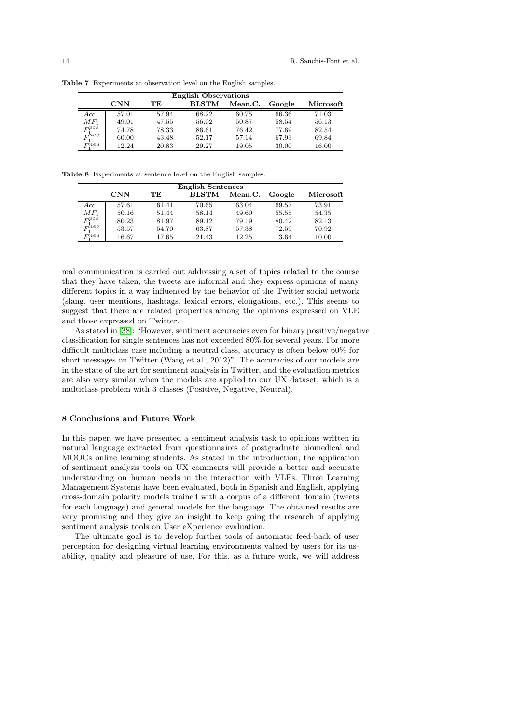|             | <b>English Observations</b> |       |              |         |        |           |  |  |  |
|-------------|-----------------------------|-------|--------------|---------|--------|-----------|--|--|--|
|             | $\mathbf{CNN}$              | TЕ    | <b>BLSTM</b> | Mean.C. | Google | Microsoft |  |  |  |
| Acc         | 57.01                       | 57.94 | 68.22        | 60.75   | 66.36  | 71.03     |  |  |  |
| $MF_1$      | 49.01                       | 47.55 | 56.02        | 50.87   | 58.54  | 56.13     |  |  |  |
| $F_1^{pos}$ | 74.78                       | 78.33 | 86.61        | 76.42   | 77.69  | 82.54     |  |  |  |
| $F_1^{neg}$ | 60.00                       | 43.48 | 52.17        | 57.14   | 67.93  | 69.84     |  |  |  |
| $F_1^{neu}$ | 12.24                       | 20.83 | 29.27        | 19.05   | 30.00  | 16.00     |  |  |  |

Table 7 Experiments at observation level on the English samples.

Table 8 Experiments at sentence level on the English samples.

<span id="page-14-0"></span>

|                 | <b>English Sentences</b> |       |              |         |        |           |  |  |  |
|-----------------|--------------------------|-------|--------------|---------|--------|-----------|--|--|--|
|                 | $\mathbf{CNN}$           | TЕ    | <b>BLSTM</b> | Mean.C. | Google | Microsoft |  |  |  |
| Acc             | 57.61                    | 61.41 | 70.65        | 63.04   | 69.57  | 73.91     |  |  |  |
| $\mathit{MF}_1$ | 50.16                    | 51.44 | 58.14        | 49.60   | 55.55  | 54.35     |  |  |  |
| $F_1^{pos}$     | 80.23                    | 81.97 | 89.12        | 79.19   | 80.42  | 82.13     |  |  |  |
| $F_1^{neg}$     | 53.57                    | 54.70 | 63.87        | 57.38   | 72.59  | 70.92     |  |  |  |
| $F_1^{neu}$     | 16.67                    | 17.65 | 21.43        | 12.25   | 13.64  | 10.00     |  |  |  |

mal communication is carried out addressing a set of topics related to the course that they have taken, the tweets are informal and they express opinions of many different topics in a way influenced by the behavior of the Twitter social network (slang, user mentions, hashtags, lexical errors, elongations, etc.). This seems to suggest that there are related properties among the opinions expressed on VLE and those expressed on Twitter.

As stated in [\[38\]](#page-18-6): "However, sentiment accuracies even for binary positive/negative classification for single sentences has not exceeded 80% for several years. For more difficult multiclass case including a neutral class, accuracy is often below 60% for short messages on Twitter (Wang et al., 2012)". The accuracies of our models are in the state of the art for sentiment analysis in Twitter, and the evaluation metrics are also very similar when the models are applied to our UX dataset, which is a multiclass problem with 3 classes (Positive, Negative, Neutral).

## 8 Conclusions and Future Work

In this paper, we have presented a sentiment analysis task to opinions written in natural language extracted from questionnaires of postgraduate biomedical and MOOCs online learning students. As stated in the introduction, the application of sentiment analysis tools on UX comments will provide a better and accurate understanding on human needs in the interaction with VLEs. Three Learning Management Systems have been evaluated, both in Spanish and English, applying cross-domain polarity models trained with a corpus of a different domain (tweets for each language) and general models for the language. The obtained results are very promising and they give an insight to keep going the research of applying sentiment analysis tools on User eXperience evaluation.

The ultimate goal is to develop further tools of automatic feed-back of user perception for designing virtual learning environments valued by users for its usability, quality and pleasure of use. For this, as a future work, we will address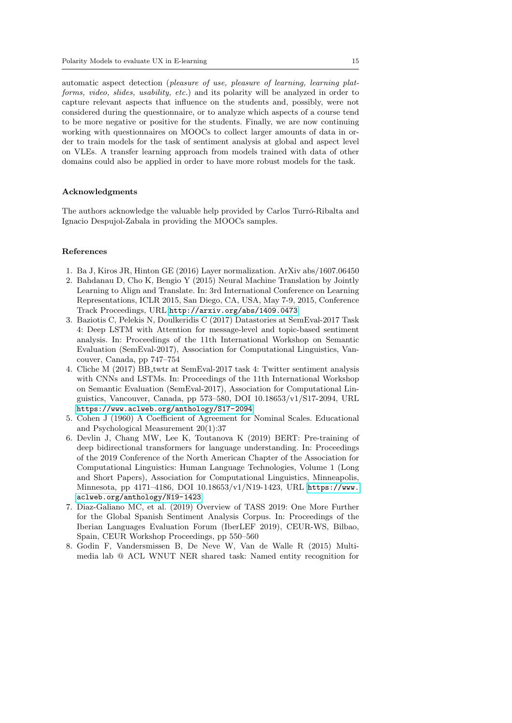automatic aspect detection (pleasure of use, pleasure of learning, learning platforms, video, slides, usability, etc.) and its polarity will be analyzed in order to capture relevant aspects that influence on the students and, possibly, were not considered during the questionnaire, or to analyze which aspects of a course tend to be more negative or positive for the students. Finally, we are now continuing working with questionnaires on MOOCs to collect larger amounts of data in order to train models for the task of sentiment analysis at global and aspect level on VLEs. A transfer learning approach from models trained with data of other domains could also be applied in order to have more robust models for the task.

#### Acknowledgments

The authors acknowledge the valuable help provided by Carlos Turró-Ribalta and Ignacio Despujol-Zabala in providing the MOOCs samples.

## References

- <span id="page-15-7"></span>1. Ba J, Kiros JR, Hinton GE (2016) Layer normalization. ArXiv abs/1607.06450
- <span id="page-15-0"></span>2. Bahdanau D, Cho K, Bengio Y (2015) Neural Machine Translation by Jointly Learning to Align and Translate. In: 3rd International Conference on Learning Representations, ICLR 2015, San Diego, CA, USA, May 7-9, 2015, Conference Track Proceedings, URL <http://arxiv.org/abs/1409.0473>
- <span id="page-15-1"></span>3. Baziotis C, Pelekis N, Doulkeridis C (2017) Datastories at SemEval-2017 Task 4: Deep LSTM with Attention for message-level and topic-based sentiment analysis. In: Proceedings of the 11th International Workshop on Semantic Evaluation (SemEval-2017), Association for Computational Linguistics, Vancouver, Canada, pp 747–754
- <span id="page-15-2"></span>4. Cliche M (2017) BB twtr at SemEval-2017 task 4: Twitter sentiment analysis with CNNs and LSTMs. In: Proceedings of the 11th International Workshop on Semantic Evaluation (SemEval-2017), Association for Computational Linguistics, Vancouver, Canada, pp 573–580, DOI 10.18653/v1/S17-2094, URL <https://www.aclweb.org/anthology/S17-2094>
- <span id="page-15-5"></span>5. Cohen J (1960) A Coefficient of Agreement for Nominal Scales. Educational and Psychological Measurement 20(1):37
- <span id="page-15-4"></span>6. Devlin J, Chang MW, Lee K, Toutanova K (2019) BERT: Pre-training of deep bidirectional transformers for language understanding. In: Proceedings of the 2019 Conference of the North American Chapter of the Association for Computational Linguistics: Human Language Technologies, Volume 1 (Long and Short Papers), Association for Computational Linguistics, Minneapolis, Minnesota, pp 4171–4186, DOI 10.18653/v1/N19-1423, URL [https://www.](https://www.aclweb.org/anthology/N19-1423) [aclweb.org/anthology/N19-1423](https://www.aclweb.org/anthology/N19-1423)
- <span id="page-15-3"></span>7. Diaz-Galiano MC, et al. (2019) Overview of TASS 2019: One More Further for the Global Spanish Sentiment Analysis Corpus. In: Proceedings of the Iberian Languages Evaluation Forum (IberLEF 2019), CEUR-WS, Bilbao, Spain, CEUR Workshop Proceedings, pp 550–560
- <span id="page-15-6"></span>8. Godin F, Vandersmissen B, De Neve W, Van de Walle R (2015) Multimedia lab @ ACL WNUT NER shared task: Named entity recognition for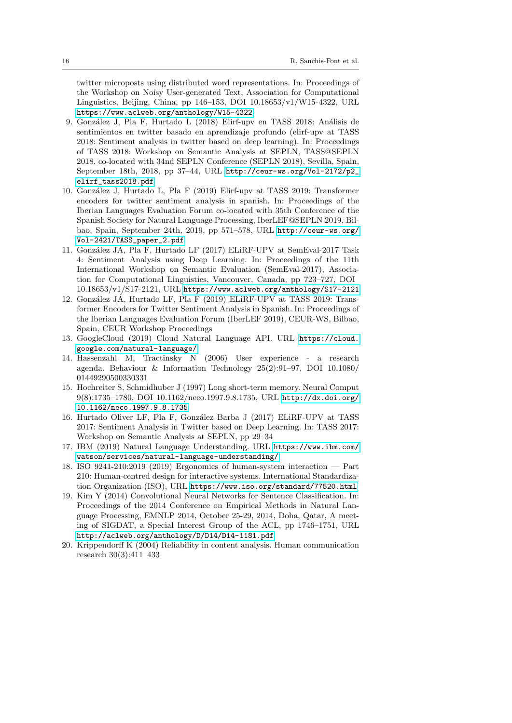twitter microposts using distributed word representations. In: Proceedings of the Workshop on Noisy User-generated Text, Association for Computational Linguistics, Beijing, China, pp  $146-153$ , DOI  $10.18653/v1/W15-4322$ , URL <https://www.aclweb.org/anthology/W15-4322>

- <span id="page-16-10"></span>9. González J, Pla F, Hurtado L (2018) Elirf-upv en TASS 2018: Análisis de sentimientos en twitter basado en aprendizaje profundo (elirf-upv at TASS 2018: Sentiment analysis in twitter based on deep learning). In: Proceedings of TASS 2018: Workshop on Semantic Analysis at SEPLN, TASS@SEPLN 2018, co-located with 34nd SEPLN Conference (SEPLN 2018), Sevilla, Spain, September 18th, 2018, pp 37–44, URL [http://ceur-ws.org/Vol-2172/p2\\_](http://ceur-ws.org/Vol-2172/p2_elirf_tass2018.pdf) [elirf\\_tass2018.pdf](http://ceur-ws.org/Vol-2172/p2_elirf_tass2018.pdf)
- <span id="page-16-11"></span>10. Gonz´alez J, Hurtado L, Pla F (2019) Elirf-upv at TASS 2019: Transformer encoders for twitter sentiment analysis in spanish. In: Proceedings of the Iberian Languages Evaluation Forum co-located with 35th Conference of the Spanish Society for Natural Language Processing, IberLEF@SEPLN 2019, Bilbao, Spain, September 24th, 2019, pp 571–578, URL [http://ceur-ws.org/](http://ceur-ws.org/Vol-2421/TASS_paper_2.pdf) [Vol-2421/TASS\\_paper\\_2.pdf](http://ceur-ws.org/Vol-2421/TASS_paper_2.pdf)
- <span id="page-16-9"></span>11. González JÁ, Pla F, Hurtado LF (2017) ELiRF-UPV at SemEval-2017 Task 4: Sentiment Analysis using Deep Learning. In: Proceedings of the 11th International Workshop on Semantic Evaluation (SemEval-2017), Association for Computational Linguistics, Vancouver, Canada, pp 723–727, DOI 10.18653/v1/S17-2121, URL <https://www.aclweb.org/anthology/S17-2121>
- <span id="page-16-5"></span>12. González JÁ, Hurtado LF, Pla F (2019) ELiRF-UPV at TASS 2019: Transformer Encoders for Twitter Sentiment Analysis in Spanish. In: Proceedings of the Iberian Languages Evaluation Forum (IberLEF 2019), CEUR-WS, Bilbao, Spain, CEUR Workshop Proceedings
- <span id="page-16-2"></span>13. GoogleCloud (2019) Cloud Natural Language API. URL [https://cloud.](https://cloud.google.com/natural-language/) [google.com/natural-language/](https://cloud.google.com/natural-language/)
- <span id="page-16-1"></span>14. Hassenzahl M, Tractinsky N (2006) User experience - a research agenda. Behaviour & Information Technology 25(2):91–97, DOI 10.1080/ 01449290500330331
- <span id="page-16-4"></span>15. Hochreiter S, Schmidhuber J (1997) Long short-term memory. Neural Comput 9(8):1735–1780, DOI 10.1162/neco.1997.9.8.1735, URL [http://dx.doi.org/](http://dx.doi.org/10.1162/neco.1997.9.8.1735) [10.1162/neco.1997.9.8.1735](http://dx.doi.org/10.1162/neco.1997.9.8.1735)
- <span id="page-16-8"></span>16. Hurtado Oliver LF, Pla F, González Barba J (2017) ELiRF-UPV at TASS 2017: Sentiment Analysis in Twitter based on Deep Learning. In: TASS 2017: Workshop on Semantic Analysis at SEPLN, pp 29–34
- <span id="page-16-6"></span>17. IBM (2019) Natural Language Understanding. URL [https://www.ibm.com/](https://www.ibm.com/watson/services/natural-language-understanding/) [watson/services/natural-language-understanding/](https://www.ibm.com/watson/services/natural-language-understanding/)
- <span id="page-16-0"></span>18. ISO 9241-210:2019 (2019) Ergonomics of human-system interaction — Part 210: Human-centred design for interactive systems. International Standardization Organization (ISO), URL <https://www.iso.org/standard/77520.html>
- <span id="page-16-3"></span>19. Kim Y (2014) Convolutional Neural Networks for Sentence Classification. In: Proceedings of the 2014 Conference on Empirical Methods in Natural Language Processing, EMNLP 2014, October 25-29, 2014, Doha, Qatar, A meeting of SIGDAT, a Special Interest Group of the ACL, pp 1746–1751, URL <http://aclweb.org/anthology/D/D14/D14-1181.pdf>
- <span id="page-16-7"></span>20. Krippendorff K (2004) Reliability in content analysis. Human communication research 30(3):411–433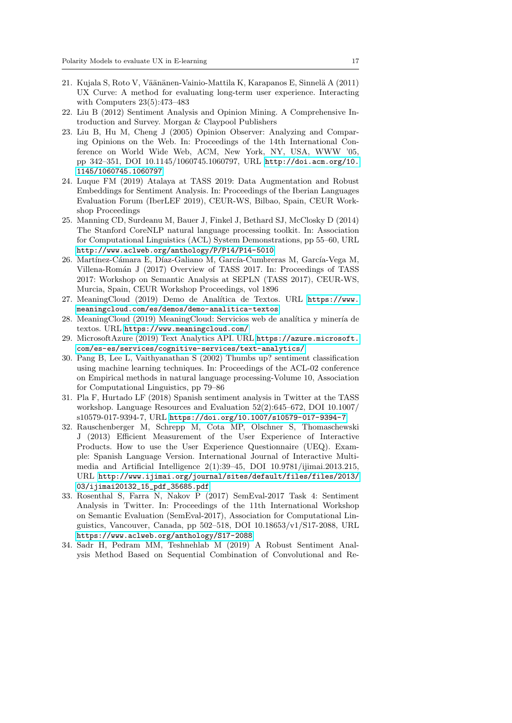- <span id="page-17-0"></span>21. Kujala S, Roto V, Väänänen-Vainio-Mattila K, Karapanos E, Sinnelä A (2011) UX Curve: A method for evaluating long-term user experience. Interacting with Computers 23(5):473–483
- <span id="page-17-7"></span>22. Liu B (2012) Sentiment Analysis and Opinion Mining. A Comprehensive Introduction and Survey. Morgan & Claypool Publishers
- <span id="page-17-6"></span>23. Liu B, Hu M, Cheng J (2005) Opinion Observer: Analyzing and Comparing Opinions on the Web. In: Proceedings of the 14th International Conference on World Wide Web, ACM, New York, NY, USA, WWW '05, pp 342–351, DOI 10.1145/1060745.1060797, URL [http://doi.acm.org/10.](http://doi.acm.org/10.1145/1060745.1060797) [1145/1060745.1060797](http://doi.acm.org/10.1145/1060745.1060797)
- <span id="page-17-10"></span>24. Luque FM (2019) Atalaya at TASS 2019: Data Augmentation and Robust Embeddings for Sentiment Analysis. In: Proceedings of the Iberian Languages Evaluation Forum (IberLEF 2019), CEUR-WS, Bilbao, Spain, CEUR Workshop Proceedings
- <span id="page-17-11"></span>25. Manning CD, Surdeanu M, Bauer J, Finkel J, Bethard SJ, McClosky D (2014) The Stanford CoreNLP natural language processing toolkit. In: Association for Computational Linguistics (ACL) System Demonstrations, pp 55–60, URL <http://www.aclweb.org/anthology/P/P14/P14-5010>
- <span id="page-17-12"></span>26. Martínez-Cámara E, Díaz-Galiano M, García-Cumbreras M, García-Vega M, Villena-Rom´an J (2017) Overview of TASS 2017. In: Proceedings of TASS 2017: Workshop on Semantic Analysis at SEPLN (TASS 2017), CEUR-WS, Murcia, Spain, CEUR Workshop Proceedings, vol 1896
- <span id="page-17-2"></span>27. MeaningCloud (2019) Demo de Analítica de Textos. URL [https://www.](https://www.meaningcloud.com/es/demos/demo-analitica-textos) [meaningcloud.com/es/demos/demo-analitica-textos](https://www.meaningcloud.com/es/demos/demo-analitica-textos)
- <span id="page-17-3"></span>28. MeaningCloud (2019) MeaningCloud: Servicios web de analítica y minería de textos. URL <https://www.meaningcloud.com/>
- <span id="page-17-4"></span>29. MicrosoftAzure (2019) Text Analytics API. URL [https://azure.microsoft.](https://azure.microsoft.com/es-es/services/cognitive-services/text-analytics/) [com/es-es/services/cognitive-services/text-analytics/](https://azure.microsoft.com/es-es/services/cognitive-services/text-analytics/)
- <span id="page-17-5"></span>30. Pang B, Lee L, Vaithyanathan S (2002) Thumbs up? sentiment classification using machine learning techniques. In: Proceedings of the ACL-02 conference on Empirical methods in natural language processing-Volume 10, Association for Computational Linguistics, pp 79–86
- <span id="page-17-13"></span>31. Pla F, Hurtado LF (2018) Spanish sentiment analysis in Twitter at the TASS workshop. Language Resources and Evaluation 52(2):645–672, DOI 10.1007/ s10579-017-9394-7, URL <https://doi.org/10.1007/s10579-017-9394-7>
- <span id="page-17-1"></span>32. Rauschenberger M, Schrepp M, Cota MP, Olschner S, Thomaschewski J (2013) Efficient Measurement of the User Experience of Interactive Products. How to use the User Experience Questionnaire (UEQ). Example: Spanish Language Version. International Journal of Interactive Multimedia and Artificial Intelligence 2(1):39–45, DOI 10.9781/ijimai.2013.215, URL [http://www.ijimai.org/journal/sites/default/files/files/2013/](http://www.ijimai.org/journal/sites/default/files/files/2013/03/ijimai20132_15_pdf_35685.pdf) [03/ijimai20132\\_15\\_pdf\\_35685.pdf](http://www.ijimai.org/journal/sites/default/files/files/2013/03/ijimai20132_15_pdf_35685.pdf)
- <span id="page-17-9"></span>33. Rosenthal S, Farra N, Nakov P (2017) SemEval-2017 Task 4: Sentiment Analysis in Twitter. In: Proceedings of the 11th International Workshop on Semantic Evaluation (SemEval-2017), Association for Computational Linguistics, Vancouver, Canada, pp 502–518, DOI 10.18653/v1/S17-2088, URL <https://www.aclweb.org/anthology/S17-2088>
- <span id="page-17-8"></span>34. Sadr H, Pedram MM, Teshnehlab M (2019) A Robust Sentiment Analysis Method Based on Sequential Combination of Convolutional and Re-